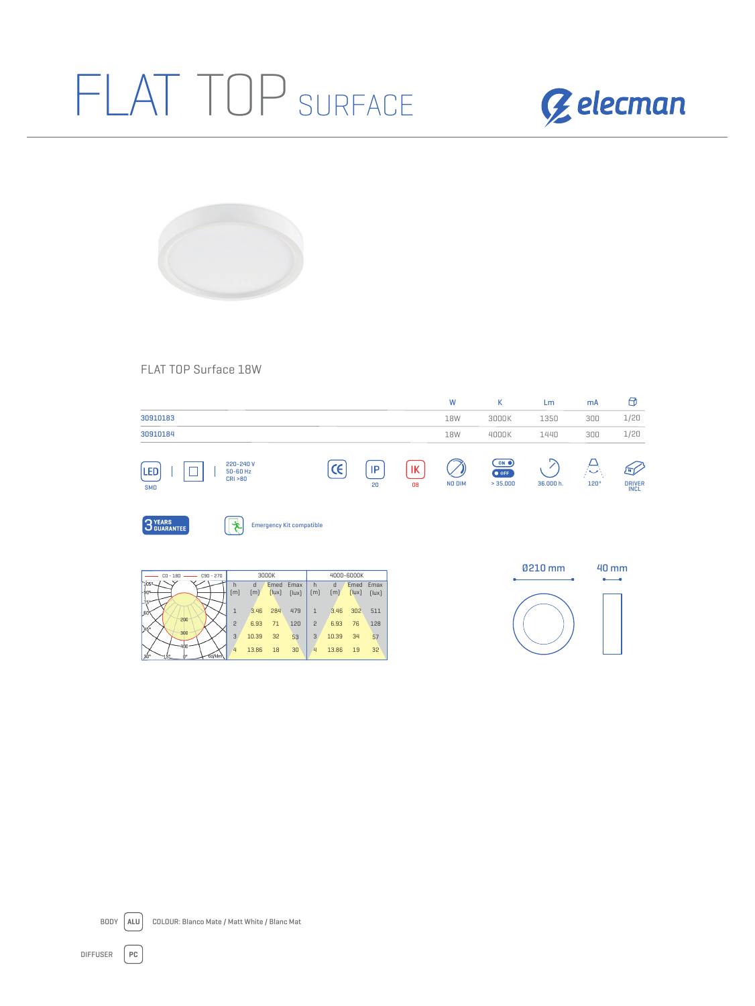## FLAT TOP SURFACE





## FLAT TOP Surface 18W

|                   |                                      |            |          |          | W      | К                                 | Lm        | mA         | Θ                                 |
|-------------------|--------------------------------------|------------|----------|----------|--------|-----------------------------------|-----------|------------|-----------------------------------|
| 30910183          |                                      |            |          |          | 18W    | 3000K                             | 1350      | 300        | 1/20                              |
| 30910184          |                                      |            |          |          | 18W    | 4000K                             | 1440      | 300        | 1/20                              |
| LED<br><b>SMD</b> | 220-240 V<br>50-60 Hz<br>CRI > 80    | $\epsilon$ | IP<br>20 | IК<br>08 | NO DIM | ON O<br>$\bullet$ OFF<br>> 35.000 | 36.000 h. | Æ,<br>120° | 可<br><b>DRIVER</b><br><b>INCL</b> |
| 3 YEARS           | <b>Emergency Kit compatible</b><br>光 |            |          |          |        |                                   |           |            |                                   |
|                   | <b>3000K</b>                         | 4000-6000K |          |          |        |                                   | 0210 mm   | 40 mm      |                                   |







DIFFUSER **PC**